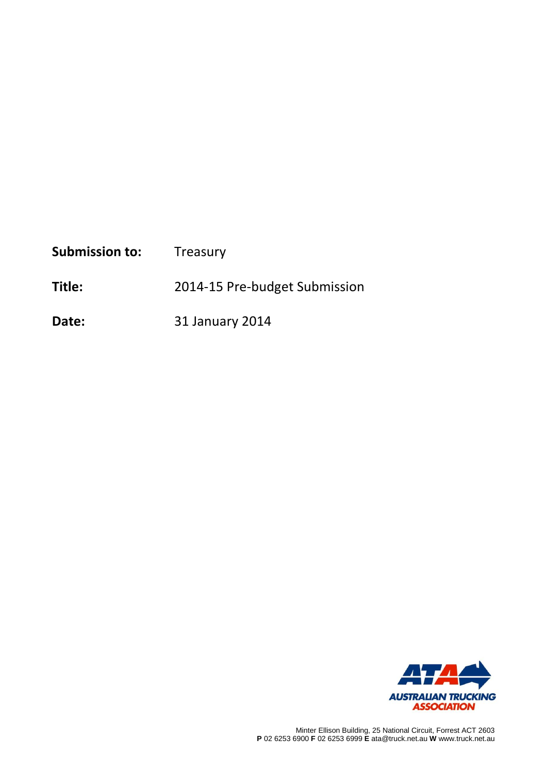| <b>Submission to:</b> | Treasury                      |
|-----------------------|-------------------------------|
| Title:                | 2014-15 Pre-budget Submission |

**Date:** 31 January 2014

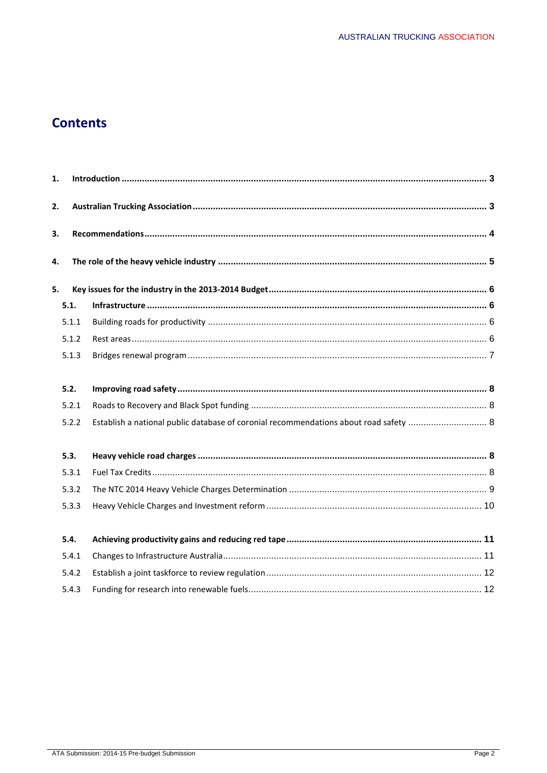# **Contents**

| 1. |       |                                                                                       |  |  |
|----|-------|---------------------------------------------------------------------------------------|--|--|
| 2. |       |                                                                                       |  |  |
| 3. |       |                                                                                       |  |  |
| 4. |       |                                                                                       |  |  |
| 5. |       |                                                                                       |  |  |
|    | 5.1.  |                                                                                       |  |  |
|    | 5.1.1 |                                                                                       |  |  |
|    | 5.1.2 |                                                                                       |  |  |
|    | 5.1.3 |                                                                                       |  |  |
|    | 5.2.  |                                                                                       |  |  |
|    | 5.2.1 |                                                                                       |  |  |
|    | 5.2.2 | Establish a national public database of coronial recommendations about road safety  8 |  |  |
|    | 5.3.  |                                                                                       |  |  |
|    | 5.3.1 |                                                                                       |  |  |
|    | 5.3.2 |                                                                                       |  |  |
|    | 5.3.3 |                                                                                       |  |  |
|    | 5.4.  |                                                                                       |  |  |
|    | 5.4.1 |                                                                                       |  |  |
|    | 5.4.2 |                                                                                       |  |  |
|    | 5.4.3 |                                                                                       |  |  |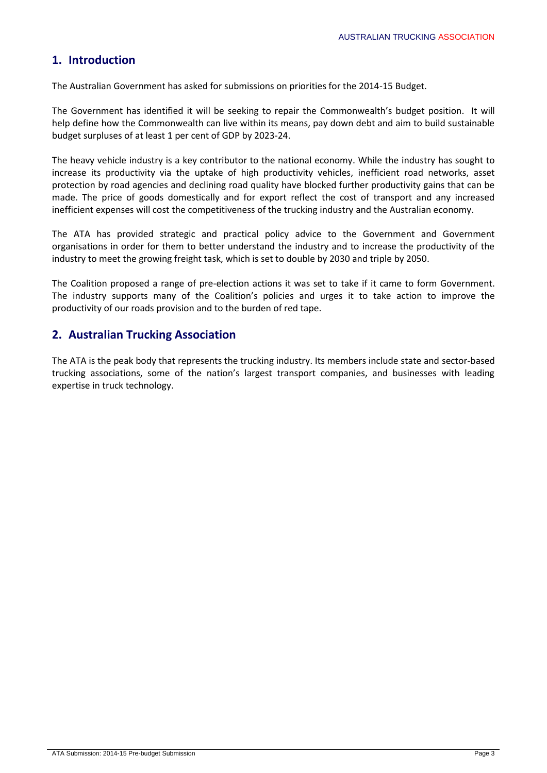## **1. Introduction**

The Australian Government has asked for submissions on priorities for the 2014-15 Budget.

The Government has identified it will be seeking to repair the Commonwealth's budget position. It will help define how the Commonwealth can live within its means, pay down debt and aim to build sustainable budget surpluses of at least 1 per cent of GDP by 2023-24.

The heavy vehicle industry is a key contributor to the national economy. While the industry has sought to increase its productivity via the uptake of high productivity vehicles, inefficient road networks, asset protection by road agencies and declining road quality have blocked further productivity gains that can be made. The price of goods domestically and for export reflect the cost of transport and any increased inefficient expenses will cost the competitiveness of the trucking industry and the Australian economy.

The ATA has provided strategic and practical policy advice to the Government and Government organisations in order for them to better understand the industry and to increase the productivity of the industry to meet the growing freight task, which is set to double by 2030 and triple by 2050.

The Coalition proposed a range of pre-election actions it was set to take if it came to form Government. The industry supports many of the Coalition's policies and urges it to take action to improve the productivity of our roads provision and to the burden of red tape.

## **2. Australian Trucking Association**

The ATA is the peak body that represents the trucking industry. Its members include state and sector-based trucking associations, some of the nation's largest transport companies, and businesses with leading expertise in truck technology.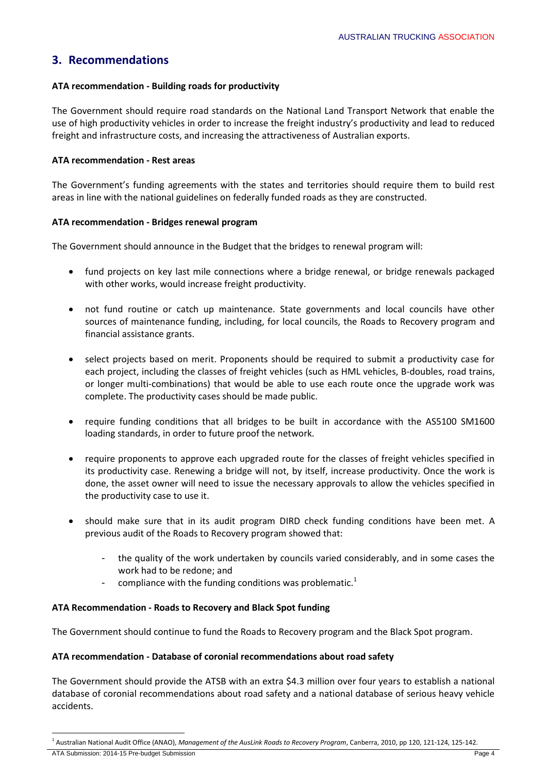## **3. Recommendations**

### **ATA recommendation - Building roads for productivity**

The Government should require road standards on the National Land Transport Network that enable the use of high productivity vehicles in order to increase the freight industry's productivity and lead to reduced freight and infrastructure costs, and increasing the attractiveness of Australian exports.

#### **ATA recommendation - Rest areas**

The Government's funding agreements with the states and territories should require them to build rest areas in line with the national guidelines on federally funded roads as they are constructed.

#### **ATA recommendation - Bridges renewal program**

The Government should announce in the Budget that the bridges to renewal program will:

- fund projects on key last mile connections where a bridge renewal, or bridge renewals packaged with other works, would increase freight productivity.
- not fund routine or catch up maintenance. State governments and local councils have other sources of maintenance funding, including, for local councils, the Roads to Recovery program and financial assistance grants.
- select projects based on merit. Proponents should be required to submit a productivity case for each project, including the classes of freight vehicles (such as HML vehicles, B-doubles, road trains, or longer multi-combinations) that would be able to use each route once the upgrade work was complete. The productivity cases should be made public.
- require funding conditions that all bridges to be built in accordance with the AS5100 SM1600 loading standards, in order to future proof the network.
- require proponents to approve each upgraded route for the classes of freight vehicles specified in its productivity case. Renewing a bridge will not, by itself, increase productivity. Once the work is done, the asset owner will need to issue the necessary approvals to allow the vehicles specified in the productivity case to use it.
- should make sure that in its audit program DIRD check funding conditions have been met. A previous audit of the Roads to Recovery program showed that:
	- the quality of the work undertaken by councils varied considerably, and in some cases the work had to be redone; and
	- compliance with the funding conditions was problematic.<sup>1</sup>

#### **ATA Recommendation - Roads to Recovery and Black Spot funding**

The Government should continue to fund the Roads to Recovery program and the Black Spot program.

#### **ATA recommendation - Database of coronial recommendations about road safety**

The Government should provide the ATSB with an extra \$4.3 million over four years to establish a national database of coronial recommendations about road safety and a national database of serious heavy vehicle accidents.

ATA Submission: 2014-15 Pre-budget Submission Page 4

**.** 

<sup>1</sup> Australian National Audit Office (ANAO), *Management of the AusLink Roads to Recovery Program*, Canberra, 2010, pp 120, 121-124, 125-142.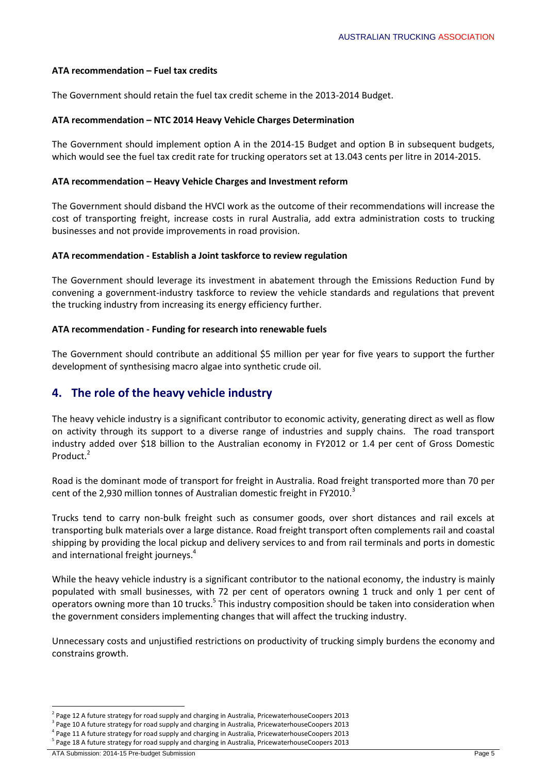#### **ATA recommendation – Fuel tax credits**

The Government should retain the fuel tax credit scheme in the 2013-2014 Budget.

#### **ATA recommendation – NTC 2014 Heavy Vehicle Charges Determination**

The Government should implement option A in the 2014-15 Budget and option B in subsequent budgets, which would see the fuel tax credit rate for trucking operators set at 13.043 cents per litre in 2014-2015.

#### **ATA recommendation – Heavy Vehicle Charges and Investment reform**

The Government should disband the HVCI work as the outcome of their recommendations will increase the cost of transporting freight, increase costs in rural Australia, add extra administration costs to trucking businesses and not provide improvements in road provision.

#### **ATA recommendation - Establish a Joint taskforce to review regulation**

The Government should leverage its investment in abatement through the Emissions Reduction Fund by convening a government-industry taskforce to review the vehicle standards and regulations that prevent the trucking industry from increasing its energy efficiency further.

#### **ATA recommendation - Funding for research into renewable fuels**

The Government should contribute an additional \$5 million per year for five years to support the further development of synthesising macro algae into synthetic crude oil.

## **4. The role of the heavy vehicle industry**

The heavy vehicle industry is a significant contributor to economic activity, generating direct as well as flow on activity through its support to a diverse range of industries and supply chains. The road transport industry added over \$18 billion to the Australian economy in FY2012 or 1.4 per cent of Gross Domestic Product.<sup>2</sup>

Road is the dominant mode of transport for freight in Australia. Road freight transported more than 70 per cent of the 2,930 million tonnes of Australian domestic freight in FY2010.<sup>3</sup>

Trucks tend to carry non-bulk freight such as consumer goods, over short distances and rail excels at transporting bulk materials over a large distance. Road freight transport often complements rail and coastal shipping by providing the local pickup and delivery services to and from rail terminals and ports in domestic and international freight journeys.<sup>4</sup>

While the heavy vehicle industry is a significant contributor to the national economy, the industry is mainly populated with small businesses, with 72 per cent of operators owning 1 truck and only 1 per cent of operators owning more than 10 trucks.<sup>5</sup> This industry composition should be taken into consideration when the government considers implementing changes that will affect the trucking industry.

Unnecessary costs and unjustified restrictions on productivity of trucking simply burdens the economy and constrains growth.

 $\overline{a}$ <sup>2</sup> Page 12 A future strategy for road supply and charging in Australia, PricewaterhouseCoopers 2013

<sup>&</sup>lt;sup>3</sup> Page 10 A future strategy for road supply and charging in Australia, PricewaterhouseCoopers 2013

<sup>&</sup>lt;sup>4</sup> Page 11 A future strategy for road supply and charging in Australia, PricewaterhouseCoopers 2013

<sup>&</sup>lt;sup>5</sup> Page 18 A future strategy for road supply and charging in Australia, PricewaterhouseCoopers 2013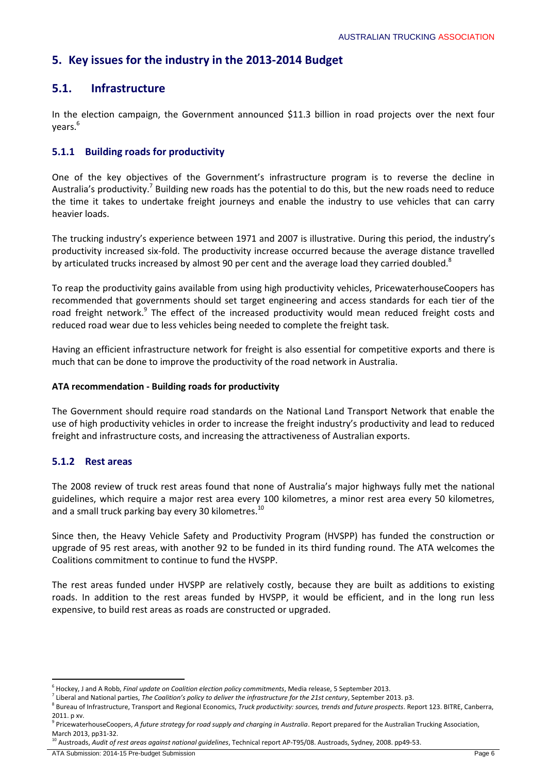## **5. Key issues for the industry in the 2013-2014 Budget**

## **5.1. Infrastructure**

In the election campaign, the Government announced \$11.3 billion in road projects over the next four years.<sup>6</sup>

## **5.1.1 Building roads for productivity**

One of the key objectives of the Government's infrastructure program is to reverse the decline in Australia's productivity.<sup>7</sup> Building new roads has the potential to do this, but the new roads need to reduce the time it takes to undertake freight journeys and enable the industry to use vehicles that can carry heavier loads.

The trucking industry's experience between 1971 and 2007 is illustrative. During this period, the industry's productivity increased six-fold. The productivity increase occurred because the average distance travelled by articulated trucks increased by almost 90 per cent and the average load they carried doubled.<sup>8</sup>

To reap the productivity gains available from using high productivity vehicles, PricewaterhouseCoopers has recommended that governments should set target engineering and access standards for each tier of the road freight network.<sup>9</sup> The effect of the increased productivity would mean reduced freight costs and reduced road wear due to less vehicles being needed to complete the freight task.

Having an efficient infrastructure network for freight is also essential for competitive exports and there is much that can be done to improve the productivity of the road network in Australia.

#### **ATA recommendation - Building roads for productivity**

The Government should require road standards on the National Land Transport Network that enable the use of high productivity vehicles in order to increase the freight industry's productivity and lead to reduced freight and infrastructure costs, and increasing the attractiveness of Australian exports.

### **5.1.2 Rest areas**

The 2008 review of truck rest areas found that none of Australia's major highways fully met the national guidelines, which require a major rest area every 100 kilometres, a minor rest area every 50 kilometres, and a small truck parking bay every 30 kilometres.<sup>10</sup>

Since then, the Heavy Vehicle Safety and Productivity Program (HVSPP) has funded the construction or upgrade of 95 rest areas, with another 92 to be funded in its third funding round. The ATA welcomes the Coalitions commitment to continue to fund the HVSPP.

The rest areas funded under HVSPP are relatively costly, because they are built as additions to existing roads. In addition to the rest areas funded by HVSPP, it would be efficient, and in the long run less expensive, to build rest areas as roads are constructed or upgraded.

 $\overline{a}$ 6 Hockey, J and A Robb, *Final update on Coalition election policy commitments*, Media release, 5 September 2013.

<sup>7</sup> Liberal and National parties, *The Coalition's policy to deliver the infrastructure for the 21st century*, September 2013. p3.

<sup>8</sup> Bureau of Infrastructure, Transport and Regional Economics, *Truck productivity: sources, trends and future prospects*. Report 123. BITRE, Canberra, 2011. p xv.

<sup>9</sup> PricewaterhouseCoopers, *A future strategy for road supply and charging in Australia*. Report prepared for the Australian Trucking Association, March 2013, pp31-32.

<sup>10</sup> Austroads, *Audit of rest areas against national guidelines*, Technical report AP-T95/08. Austroads, Sydney, 2008. pp49-53.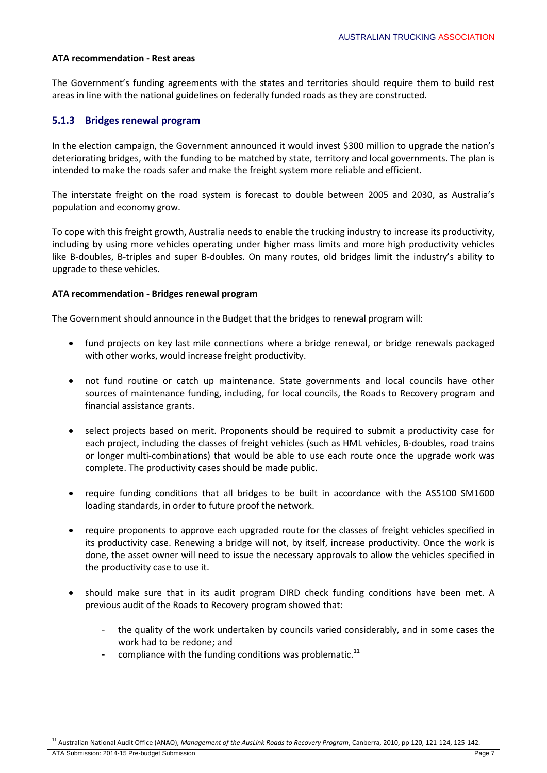#### **ATA recommendation - Rest areas**

The Government's funding agreements with the states and territories should require them to build rest areas in line with the national guidelines on federally funded roads as they are constructed.

#### **5.1.3 Bridges renewal program**

In the election campaign, the Government announced it would invest \$300 million to upgrade the nation's deteriorating bridges, with the funding to be matched by state, territory and local governments. The plan is intended to make the roads safer and make the freight system more reliable and efficient.

The interstate freight on the road system is forecast to double between 2005 and 2030, as Australia's population and economy grow.

To cope with this freight growth, Australia needs to enable the trucking industry to increase its productivity, including by using more vehicles operating under higher mass limits and more high productivity vehicles like B-doubles, B-triples and super B-doubles. On many routes, old bridges limit the industry's ability to upgrade to these vehicles.

#### **ATA recommendation - Bridges renewal program**

The Government should announce in the Budget that the bridges to renewal program will:

- fund projects on key last mile connections where a bridge renewal, or bridge renewals packaged with other works, would increase freight productivity.
- not fund routine or catch up maintenance. State governments and local councils have other sources of maintenance funding, including, for local councils, the Roads to Recovery program and financial assistance grants.
- select projects based on merit. Proponents should be required to submit a productivity case for each project, including the classes of freight vehicles (such as HML vehicles, B-doubles, road trains or longer multi-combinations) that would be able to use each route once the upgrade work was complete. The productivity cases should be made public.
- require funding conditions that all bridges to be built in accordance with the AS5100 SM1600 loading standards, in order to future proof the network.
- require proponents to approve each upgraded route for the classes of freight vehicles specified in its productivity case. Renewing a bridge will not, by itself, increase productivity. Once the work is done, the asset owner will need to issue the necessary approvals to allow the vehicles specified in the productivity case to use it.
- should make sure that in its audit program DIRD check funding conditions have been met. A previous audit of the Roads to Recovery program showed that:
	- the quality of the work undertaken by councils varied considerably, and in some cases the work had to be redone; and
	- compliance with the funding conditions was problematic. $^{11}$

ATA Submission: 2014-15 Pre-budget Submission Page 7

**<sup>.</sup>** <sup>11</sup> Australian National Audit Office (ANAO), *Management of the AusLink Roads to Recovery Program*, Canberra, 2010, pp 120, 121-124, 125-142.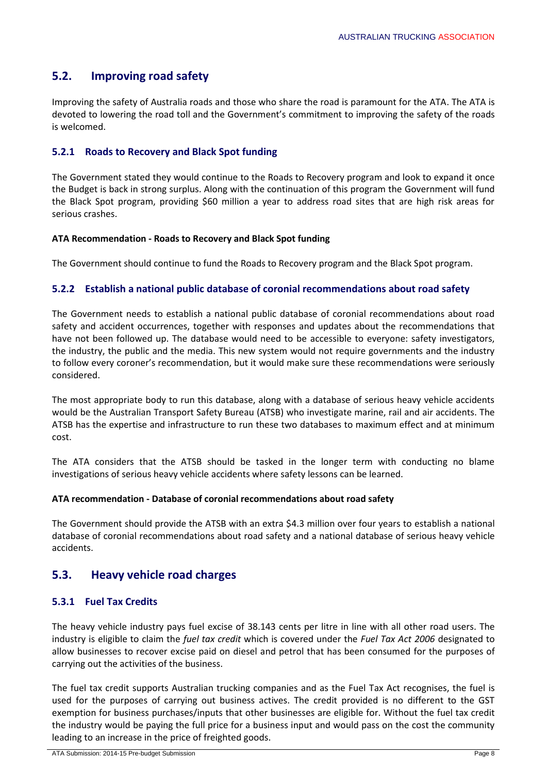## **5.2. Improving road safety**

Improving the safety of Australia roads and those who share the road is paramount for the ATA. The ATA is devoted to lowering the road toll and the Government's commitment to improving the safety of the roads is welcomed.

## **5.2.1 Roads to Recovery and Black Spot funding**

The Government stated they would continue to the Roads to Recovery program and look to expand it once the Budget is back in strong surplus. Along with the continuation of this program the Government will fund the Black Spot program, providing \$60 million a year to address road sites that are high risk areas for serious crashes.

### **ATA Recommendation - Roads to Recovery and Black Spot funding**

The Government should continue to fund the Roads to Recovery program and the Black Spot program.

### **5.2.2 Establish a national public database of coronial recommendations about road safety**

The Government needs to establish a national public database of coronial recommendations about road safety and accident occurrences, together with responses and updates about the recommendations that have not been followed up. The database would need to be accessible to everyone: safety investigators, the industry, the public and the media. This new system would not require governments and the industry to follow every coroner's recommendation, but it would make sure these recommendations were seriously considered.

The most appropriate body to run this database, along with a database of serious heavy vehicle accidents would be the Australian Transport Safety Bureau (ATSB) who investigate marine, rail and air accidents. The ATSB has the expertise and infrastructure to run these two databases to maximum effect and at minimum cost.

The ATA considers that the ATSB should be tasked in the longer term with conducting no blame investigations of serious heavy vehicle accidents where safety lessons can be learned.

#### **ATA recommendation - Database of coronial recommendations about road safety**

The Government should provide the ATSB with an extra \$4.3 million over four years to establish a national database of coronial recommendations about road safety and a national database of serious heavy vehicle accidents.

## **5.3. Heavy vehicle road charges**

### **5.3.1 Fuel Tax Credits**

The heavy vehicle industry pays fuel excise of 38.143 cents per litre in line with all other road users. The industry is eligible to claim the *fuel tax credit* which is covered under the *Fuel Tax Act 2006* designated to allow businesses to recover excise paid on diesel and petrol that has been consumed for the purposes of carrying out the activities of the business.

The fuel tax credit supports Australian trucking companies and as the Fuel Tax Act recognises, the fuel is used for the purposes of carrying out business actives. The credit provided is no different to the GST exemption for business purchases/inputs that other businesses are eligible for. Without the fuel tax credit the industry would be paying the full price for a business input and would pass on the cost the community leading to an increase in the price of freighted goods.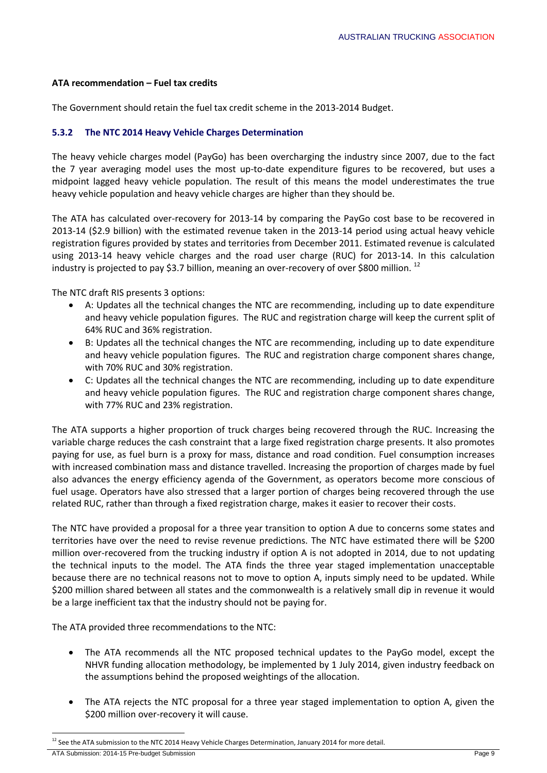#### **ATA recommendation – Fuel tax credits**

The Government should retain the fuel tax credit scheme in the 2013-2014 Budget.

### **5.3.2 The NTC 2014 Heavy Vehicle Charges Determination**

The heavy vehicle charges model (PayGo) has been overcharging the industry since 2007, due to the fact the 7 year averaging model uses the most up-to-date expenditure figures to be recovered, but uses a midpoint lagged heavy vehicle population. The result of this means the model underestimates the true heavy vehicle population and heavy vehicle charges are higher than they should be.

The ATA has calculated over-recovery for 2013-14 by comparing the PayGo cost base to be recovered in 2013-14 (\$2.9 billion) with the estimated revenue taken in the 2013-14 period using actual heavy vehicle registration figures provided by states and territories from December 2011. Estimated revenue is calculated using 2013-14 heavy vehicle charges and the road user charge (RUC) for 2013-14. In this calculation industry is projected to pay \$3.7 billion, meaning an over-recovery of over \$800 million.<sup>12</sup>

The NTC draft RIS presents 3 options:

- A: Updates all the technical changes the NTC are recommending, including up to date expenditure and heavy vehicle population figures. The RUC and registration charge will keep the current split of 64% RUC and 36% registration.
- B: Updates all the technical changes the NTC are recommending, including up to date expenditure and heavy vehicle population figures. The RUC and registration charge component shares change, with 70% RUC and 30% registration.
- C: Updates all the technical changes the NTC are recommending, including up to date expenditure and heavy vehicle population figures. The RUC and registration charge component shares change, with 77% RUC and 23% registration.

The ATA supports a higher proportion of truck charges being recovered through the RUC. Increasing the variable charge reduces the cash constraint that a large fixed registration charge presents. It also promotes paying for use, as fuel burn is a proxy for mass, distance and road condition. Fuel consumption increases with increased combination mass and distance travelled. Increasing the proportion of charges made by fuel also advances the energy efficiency agenda of the Government, as operators become more conscious of fuel usage. Operators have also stressed that a larger portion of charges being recovered through the use related RUC, rather than through a fixed registration charge, makes it easier to recover their costs.

The NTC have provided a proposal for a three year transition to option A due to concerns some states and territories have over the need to revise revenue predictions. The NTC have estimated there will be \$200 million over-recovered from the trucking industry if option A is not adopted in 2014, due to not updating the technical inputs to the model. The ATA finds the three year staged implementation unacceptable because there are no technical reasons not to move to option A, inputs simply need to be updated. While \$200 million shared between all states and the commonwealth is a relatively small dip in revenue it would be a large inefficient tax that the industry should not be paying for.

The ATA provided three recommendations to the NTC:

- The ATA recommends all the NTC proposed technical updates to the PayGo model, except the NHVR funding allocation methodology, be implemented by 1 July 2014, given industry feedback on the assumptions behind the proposed weightings of the allocation.
- The ATA rejects the NTC proposal for a three year staged implementation to option A, given the \$200 million over-recovery it will cause.

**.** 

 $12$  See the ATA submission to the NTC 2014 Heavy Vehicle Charges Determination, January 2014 for more detail.

ATA Submission: 2014-15 Pre-budget Submission Page 9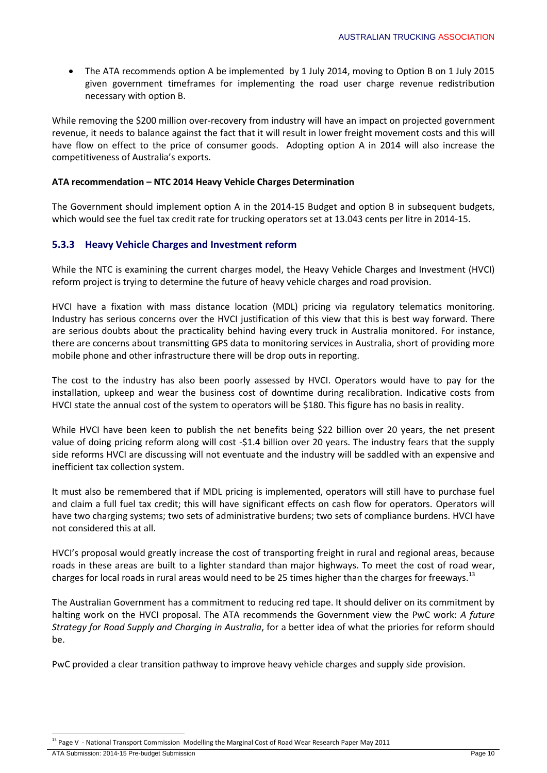The ATA recommends option A be implemented by 1 July 2014, moving to Option B on 1 July 2015 given government timeframes for implementing the road user charge revenue redistribution necessary with option B.

While removing the \$200 million over-recovery from industry will have an impact on projected government revenue, it needs to balance against the fact that it will result in lower freight movement costs and this will have flow on effect to the price of consumer goods. Adopting option A in 2014 will also increase the competitiveness of Australia's exports.

#### **ATA recommendation – NTC 2014 Heavy Vehicle Charges Determination**

The Government should implement option A in the 2014-15 Budget and option B in subsequent budgets, which would see the fuel tax credit rate for trucking operators set at 13.043 cents per litre in 2014-15.

## **5.3.3 Heavy Vehicle Charges and Investment reform**

While the NTC is examining the current charges model, the Heavy Vehicle Charges and Investment (HVCI) reform project is trying to determine the future of heavy vehicle charges and road provision.

HVCI have a fixation with mass distance location (MDL) pricing via regulatory telematics monitoring. Industry has serious concerns over the HVCI justification of this view that this is best way forward. There are serious doubts about the practicality behind having every truck in Australia monitored. For instance, there are concerns about transmitting GPS data to monitoring services in Australia, short of providing more mobile phone and other infrastructure there will be drop outs in reporting.

The cost to the industry has also been poorly assessed by HVCI. Operators would have to pay for the installation, upkeep and wear the business cost of downtime during recalibration. Indicative costs from HVCI state the annual cost of the system to operators will be \$180. This figure has no basis in reality.

While HVCI have been keen to publish the net benefits being \$22 billion over 20 years, the net present value of doing pricing reform along will cost -\$1.4 billion over 20 years. The industry fears that the supply side reforms HVCI are discussing will not eventuate and the industry will be saddled with an expensive and inefficient tax collection system.

It must also be remembered that if MDL pricing is implemented, operators will still have to purchase fuel and claim a full fuel tax credit; this will have significant effects on cash flow for operators. Operators will have two charging systems; two sets of administrative burdens; two sets of compliance burdens. HVCI have not considered this at all.

HVCI's proposal would greatly increase the cost of transporting freight in rural and regional areas, because roads in these areas are built to a lighter standard than major highways. To meet the cost of road wear, charges for local roads in rural areas would need to be 25 times higher than the charges for freeways.<sup>13</sup>

The Australian Government has a commitment to reducing red tape. It should deliver on its commitment by halting work on the HVCI proposal. The ATA recommends the Government view the PwC work: *A future Strategy for Road Supply and Charging in Australia*, for a better idea of what the priories for reform should be.

PwC provided a clear transition pathway to improve heavy vehicle charges and supply side provision.

**.** <sup>13</sup> Page V - National Transport Commission Modelling the Marginal Cost of Road Wear Research Paper May 2011

ATA Submission: 2014-15 Pre-budget Submission Page 10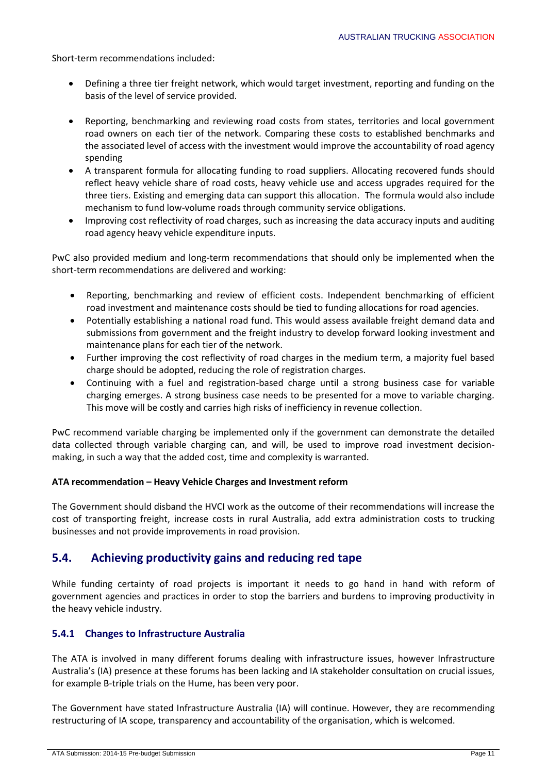Short-term recommendations included:

- Defining a three tier freight network, which would target investment, reporting and funding on the basis of the level of service provided.
- Reporting, benchmarking and reviewing road costs from states, territories and local government road owners on each tier of the network. Comparing these costs to established benchmarks and the associated level of access with the investment would improve the accountability of road agency spending
- A transparent formula for allocating funding to road suppliers. Allocating recovered funds should reflect heavy vehicle share of road costs, heavy vehicle use and access upgrades required for the three tiers. Existing and emerging data can support this allocation. The formula would also include mechanism to fund low-volume roads through community service obligations.
- Improving cost reflectivity of road charges, such as increasing the data accuracy inputs and auditing road agency heavy vehicle expenditure inputs.

PwC also provided medium and long-term recommendations that should only be implemented when the short-term recommendations are delivered and working:

- Reporting, benchmarking and review of efficient costs. Independent benchmarking of efficient road investment and maintenance costs should be tied to funding allocations for road agencies.
- Potentially establishing a national road fund. This would assess available freight demand data and submissions from government and the freight industry to develop forward looking investment and maintenance plans for each tier of the network.
- Further improving the cost reflectivity of road charges in the medium term, a majority fuel based charge should be adopted, reducing the role of registration charges.
- Continuing with a fuel and registration-based charge until a strong business case for variable charging emerges. A strong business case needs to be presented for a move to variable charging. This move will be costly and carries high risks of inefficiency in revenue collection.

PwC recommend variable charging be implemented only if the government can demonstrate the detailed data collected through variable charging can, and will, be used to improve road investment decisionmaking, in such a way that the added cost, time and complexity is warranted.

### **ATA recommendation – Heavy Vehicle Charges and Investment reform**

The Government should disband the HVCI work as the outcome of their recommendations will increase the cost of transporting freight, increase costs in rural Australia, add extra administration costs to trucking businesses and not provide improvements in road provision.

## **5.4. Achieving productivity gains and reducing red tape**

While funding certainty of road projects is important it needs to go hand in hand with reform of government agencies and practices in order to stop the barriers and burdens to improving productivity in the heavy vehicle industry.

### **5.4.1 Changes to Infrastructure Australia**

The ATA is involved in many different forums dealing with infrastructure issues, however Infrastructure Australia's (IA) presence at these forums has been lacking and IA stakeholder consultation on crucial issues, for example B-triple trials on the Hume, has been very poor.

The Government have stated Infrastructure Australia (IA) will continue. However, they are recommending restructuring of IA scope, transparency and accountability of the organisation, which is welcomed.